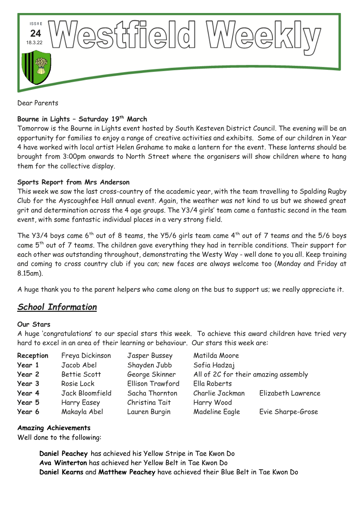

Dear Parents

## **Bourne in Lights – Saturday 19th March**

Tomorrow is the Bourne in Lights event hosted by South Kesteven District Council. The evening will be an opportunity for families to enjoy a range of creative activities and exhibits. Some of our children in Year 4 have worked with local artist Helen Grahame to make a lantern for the event. These lanterns should be brought from 3:00pm onwards to North Street where the organisers will show children where to hang them for the collective display.

### **Sports Report from Mrs Anderson**

This week we saw the last cross-country of the academic year, with the team travelling to Spalding Rugby Club for the Ayscoughfee Hall annual event. Again, the weather was not kind to us but we showed great grit and determination across the 4 age groups. The Y3/4 girls' team came a fantastic second in the team event, with some fantastic individual places in a very strong field.

The Y3/4 boys came 6<sup>th</sup> out of 8 teams, the Y5/6 girls team came  $4^{th}$  out of 7 teams and the 5/6 boys came 5<sup>th</sup> out of 7 teams. The children gave everything they had in terrible conditions. Their support for each other was outstanding throughout, demonstrating the Westy Way - well done to you all. Keep training and coming to cross country club if you can; new faces are always welcome too (Monday and Friday at 8.15am).

A huge thank you to the parent helpers who came along on the bus to support us; we really appreciate it.

# *School Information*

### **Our Stars**

A huge 'congratulations' to our special stars this week. To achieve this award children have tried very hard to excel in an area of their learning or behaviour. Our stars this week are:

| Reception | Freya Dickinson    | Jasper Bussey    | Matilda Moore                        |                    |
|-----------|--------------------|------------------|--------------------------------------|--------------------|
| Year 1    | Jacob Abel         | Shayden Jubb     | Sofia Hadzaj                         |                    |
| Year 2    | Bettie Scott       | George Skinner   | All of 2C for their amazing assembly |                    |
| Year 3    | Rosie Lock         | Ellison Trawford | Ella Roberts                         |                    |
| Year 4    | Jack Bloomfield    | Sacha Thornton   | Charlie Jackman                      | Elizabeth Lawrence |
| Year 5    | <b>Harry Easey</b> | Christina Tait   | Harry Wood                           |                    |
| Year 6    | Makayla Abel       | Lauren Burgin    | <b>Madeline Eagle</b>                | Evie Sharpe-Grose  |

### **Amazing Achievements**

Well done to the following:

**Daniel Peachey** has achieved his Yellow Stripe in Tae Kwon Do **Ava Winterton** has achieved her Yellow Belt in Tae Kwon Do **Daniel Kearns** and **Matthew Peachey** have achieved their Blue Belt in Tae Kwon Do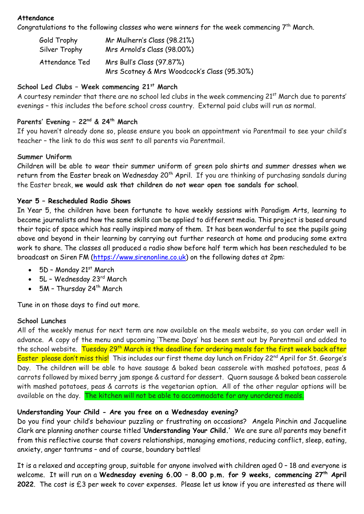### **Attendance**

Congratulations to the following classes who were winners for the week commencing  $7<sup>th</sup>$  March.

| Gold Trophy    | Mr Mulhern's Class (98.21%)                                              |
|----------------|--------------------------------------------------------------------------|
| Silver Trophy  | Mrs Arnold's Class (98.00%)                                              |
| Attendance Ted | Mrs Bull's Class (97.87%)<br>Mrs Scotney & Mrs Woodcock's Class (95.30%) |

### **School Led Clubs – Week commencing 21st March**

A courtesy reminder that there are no school led clubs in the week commencing 21<sup>st</sup> March due to parents' evenings – this includes the before school cross country. External paid clubs will run as normal.

# **Parents' Evening – 22nd & 24th March**

If you haven't already done so, please ensure you book an appointment via Parentmail to see your child's teacher – the link to do this was sent to all parents via Parentmail.

### **Summer Uniform**

Children will be able to wear their summer uniform of green polo shirts and summer dresses when we return from the Easter break on Wednesday 20<sup>th</sup> April. If you are thinking of purchasing sandals during the Easter break, **we would ask that children do not wear open toe sandals for school**.

### **Year 5 – Rescheduled Radio Shows**

In Year 5, the children have been fortunate to have weekly sessions with Paradigm Arts, learning to become journalists and how the same skills can be applied to different media. This project is based around their topic of space which has really inspired many of them. It has been wonderful to see the pupils going above and beyond in their learning by carrying out further research at home and producing some extra work to share. The classes all produced a radio show before half term which has been rescheduled to be broadcast on Siren FM [\(https://www.sirenonline.co.uk\)](https://www.sirenonline.co.uk/) on the following dates at 2pm:

- $\bullet$  5D Monday 21st March
- 5L Wednesday 23<sup>rd</sup> March
- $\bullet$  5M Thursday 24<sup>th</sup> March

Tune in on those days to find out more.

### **School Lunches**

All of the weekly menus for next term are now available on the meals website, so you can order well in advance. A copy of the menu and upcoming 'Theme Days' has been sent out by Parentmail and added to the school website. Tuesday 29<sup>th</sup> March is the deadline for ordering meals for the first week back after Easter please don't miss this! This includes our first theme day lunch on Friday 22<sup>nd</sup> April for St. George's Day. The children will be able to have sausage & baked bean casserole with mashed potatoes, peas & carrots followed by mixed berry jam sponge & custard for dessert. Quorn sausage & baked bean casserole with mashed potatoes, peas & carrots is the vegetarian option. All of the other regular options will be available on the day. The kitchen will not be able to accommodate for any unordered meals.

### **Understanding Your Child - Are you free on a Wednesday evening?**

Do you find your child's behaviour puzzling or frustrating on occasions? Angela Pinchin and Jacqueline Clark are planning another course titled '**Understanding Your Child.'** We are sure *all* parents may benefit from this reflective course that covers relationships, managing emotions, reducing conflict, sleep, eating, anxiety, anger tantrums – and of course, boundary battles!

It is a relaxed and accepting group, suitable for anyone involved with children aged 0 – 18 and everyone is welcome. It will run on a **Wednesday evening 6.00 – 8.00 p.m. for 9 weeks, commencing 27th April 2022**. The cost is £3 per week to cover expenses. Please let us know if you are interested as there will